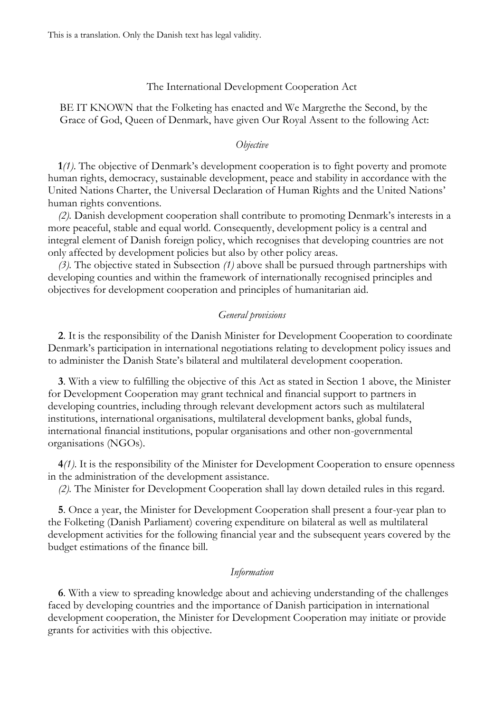This is a translation. Only the Danish text has legal validity.

## The International Development Cooperation Act

BE IT KNOWN that the Folketing has enacted and We Margrethe the Second, by the Grace of God, Queen of Denmark, have given Our Royal Assent to the following Act:

#### *Objective*

**1***(1)*. The objective of Denmark's development cooperation is to fight poverty and promote human rights, democracy, sustainable development, peace and stability in accordance with the United Nations Charter, the Universal Declaration of Human Rights and the United Nations' human rights conventions.

*(2).* Danish development cooperation shall contribute to promoting Denmark's interests in a more peaceful, stable and equal world. Consequently, development policy is a central and integral element of Danish foreign policy, which recognises that developing countries are not only affected by development policies but also by other policy areas.

*(3).* The objective stated in Subsection *(1)* above shall be pursued through partnerships with developing counties and within the framework of internationally recognised principles and objectives for development cooperation and principles of humanitarian aid.

## *General provisions*

**2**. It is the responsibility of the Danish Minister for Development Cooperation to coordinate Denmark's participation in international negotiations relating to development policy issues and to administer the Danish State's bilateral and multilateral development cooperation.

**3**. With a view to fulfilling the objective of this Act as stated in Section 1 above, the Minister for Development Cooperation may grant technical and financial support to partners in developing countries, including through relevant development actors such as multilateral institutions, international organisations, multilateral development banks, global funds, international financial institutions, popular organisations and other non-governmental organisations (NGOs).

**4***(1)*. It is the responsibility of the Minister for Development Cooperation to ensure openness in the administration of the development assistance.

*(2).* The Minister for Development Cooperation shall lay down detailed rules in this regard.

**5**. Once a year, the Minister for Development Cooperation shall present a four-year plan to the Folketing (Danish Parliament) covering expenditure on bilateral as well as multilateral development activities for the following financial year and the subsequent years covered by the budget estimations of the finance bill.

## *Information*

**6**. With a view to spreading knowledge about and achieving understanding of the challenges faced by developing countries and the importance of Danish participation in international development cooperation, the Minister for Development Cooperation may initiate or provide grants for activities with this objective.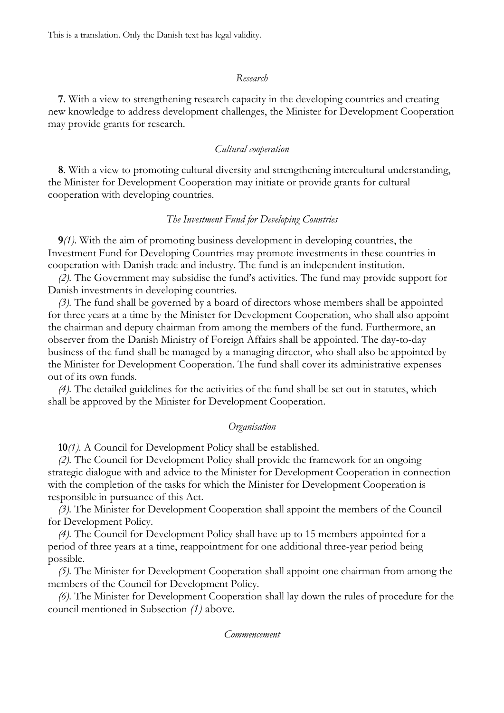This is a translation. Only the Danish text has legal validity.

## *Research*

**7**. With a view to strengthening research capacity in the developing countries and creating new knowledge to address development challenges, the Minister for Development Cooperation may provide grants for research.

## *Cultural cooperation*

**8**. With a view to promoting cultural diversity and strengthening intercultural understanding, the Minister for Development Cooperation may initiate or provide grants for cultural cooperation with developing countries.

## *The Investment Fund for Developing Countries*

**9***(1)*. With the aim of promoting business development in developing countries, the Investment Fund for Developing Countries may promote investments in these countries in cooperation with Danish trade and industry. The fund is an independent institution.

*(2).* The Government may subsidise the fund's activities. The fund may provide support for Danish investments in developing countries.

*(3).* The fund shall be governed by a board of directors whose members shall be appointed for three years at a time by the Minister for Development Cooperation, who shall also appoint the chairman and deputy chairman from among the members of the fund. Furthermore, an observer from the Danish Ministry of Foreign Affairs shall be appointed. The day-to-day business of the fund shall be managed by a managing director, who shall also be appointed by the Minister for Development Cooperation. The fund shall cover its administrative expenses out of its own funds.

*(4).* The detailed guidelines for the activities of the fund shall be set out in statutes, which shall be approved by the Minister for Development Cooperation.

#### *Organisation*

**10***(1)*. A Council for Development Policy shall be established.

*(2).* The Council for Development Policy shall provide the framework for an ongoing strategic dialogue with and advice to the Minister for Development Cooperation in connection with the completion of the tasks for which the Minister for Development Cooperation is responsible in pursuance of this Act.

*(3).* The Minister for Development Cooperation shall appoint the members of the Council for Development Policy.

*(4).* The Council for Development Policy shall have up to 15 members appointed for a period of three years at a time, reappointment for one additional three-year period being possible.

*(5).* The Minister for Development Cooperation shall appoint one chairman from among the members of the Council for Development Policy.

*(6).* The Minister for Development Cooperation shall lay down the rules of procedure for the council mentioned in Subsection *(1)* above.

*Commencement*